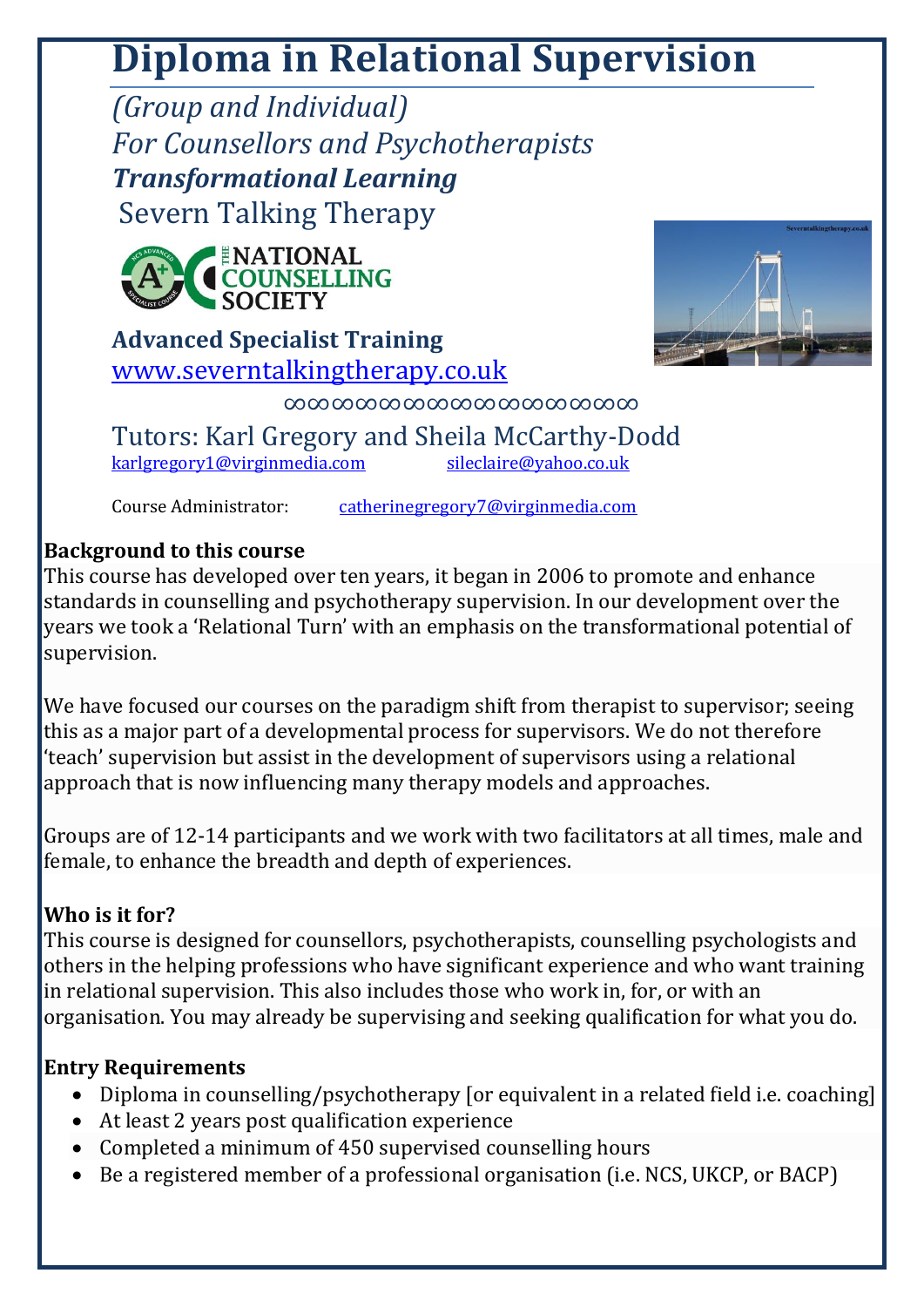# **Diploma in Relational Supervision**

*(Group and Individual) For Counsellors and Psychotherapists Transformational Learning* Severn Talking Therapy



**Advanced Specialist Training** [www.severntalkingtherapy.co.uk](http://www.severntalkingtherapy.co.uk/)



∞∞∞∞∞∞∞∞∞∞∞∞∞∞∞

Tutors: Karl Gregory and Sheila McCarthy-Dodd [karlgregory1@virginmedia.com](mailto:karlgregory1@virginmedia.com) [sileclaire@yahoo.co.uk](mailto:sileclaire@yahoo.co.uk)

Course Administrator: [catherinegregory7@virginmedia.com](mailto:catherinegregory7@virginmedia.com)

## **Background to this course**

This course has developed over ten years, it began in 2006 to promote and enhance standards in counselling and psychotherapy supervision. In our development over the years we took a 'Relational Turn' with an emphasis on the transformational potential of supervision.

We have focused our courses on the paradigm shift from therapist to supervisor; seeing this as a major part of a developmental process for supervisors. We do not therefore 'teach' supervision but assist in the development of supervisors using a relational approach that is now influencing many therapy models and approaches.

Groups are of 12-14 participants and we work with two facilitators at all times, male and female, to enhance the breadth and depth of experiences.

# **Who is it for?**

This course is designed for counsellors, psychotherapists, counselling psychologists and others in the helping professions who have significant experience and who want training in relational supervision. This also includes those who work in, for, or with an organisation. You may already be supervising and seeking qualification for what you do.

# **Entry Requirements**

- Diploma in counselling/psychotherapy [or equivalent in a related field i.e. coaching]
- At least 2 years post qualification experience
- Completed a minimum of 450 supervised counselling hours
- Be a registered member of a professional organisation (i.e. NCS, UKCP, or BACP)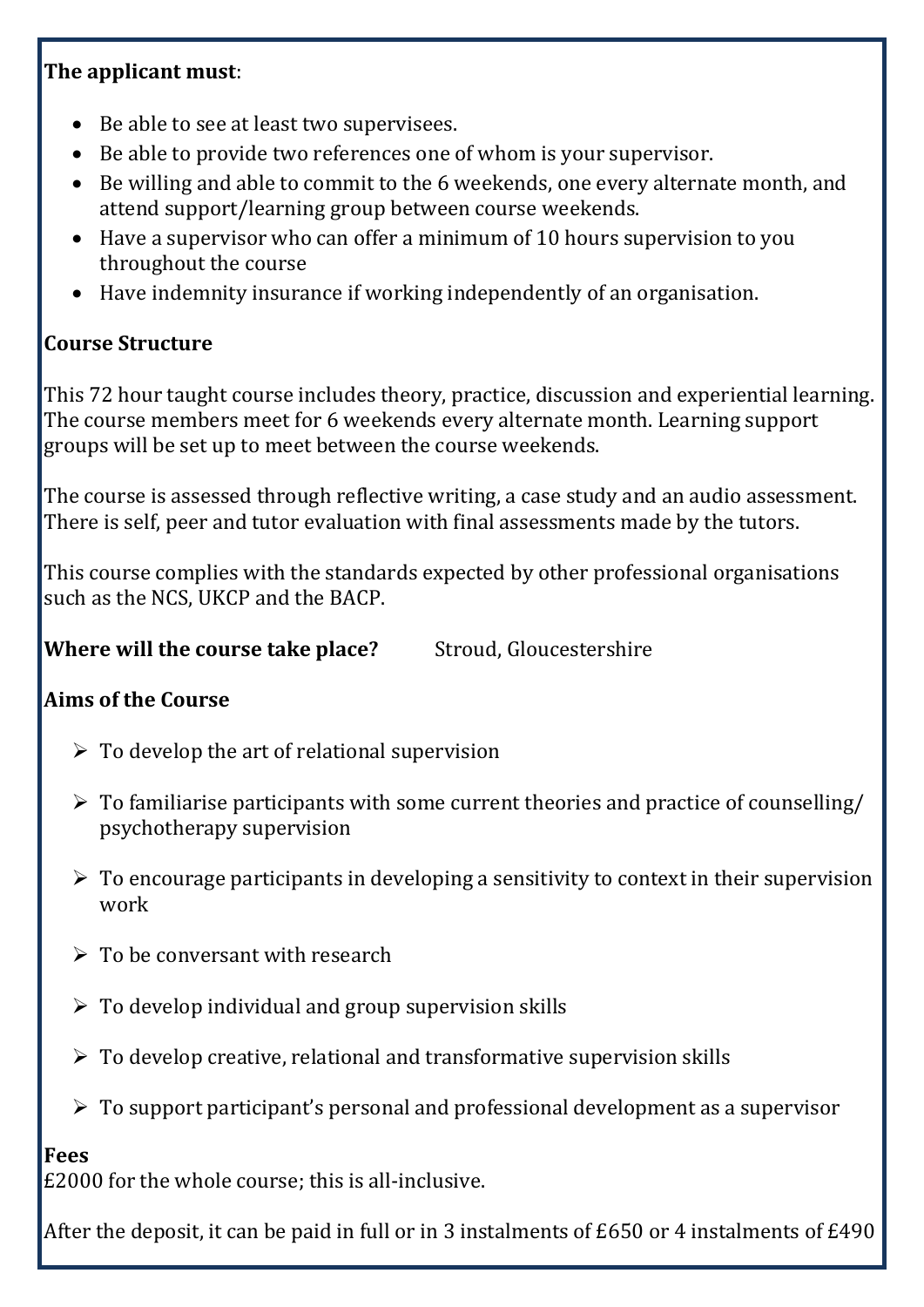### **The applicant must**:

- Be able to see at least two supervisees.
- Be able to provide two references one of whom is your supervisor.
- Be willing and able to commit to the 6 weekends, one every alternate month, and attend support/learning group between course weekends.
- Have a supervisor who can offer a minimum of 10 hours supervision to you throughout the course
- Have indemnity insurance if working independently of an organisation.

## **Course Structure**

This 72 hour taught course includes theory, practice, discussion and experiential learning. The course members meet for 6 weekends every alternate month. Learning support groups will be set up to meet between the course weekends.

The course is assessed through reflective writing, a case study and an audio assessment. There is self, peer and tutor evaluation with final assessments made by the tutors.

This course complies with the standards expected by other professional organisations such as the NCS, UKCP and the BACP.

**Where will the course take place?** Stroud, Gloucestershire

## **Aims of the Course**

- $\triangleright$  To develop the art of relational supervision
- $\triangleright$  To familiarise participants with some current theories and practice of counselling/ psychotherapy supervision
- $\triangleright$  To encourage participants in developing a sensitivity to context in their supervision work
- $\triangleright$  To be conversant with research
- $\triangleright$  To develop individual and group supervision skills
- $\triangleright$  To develop creative, relational and transformative supervision skills
- $\triangleright$  To support participant's personal and professional development as a supervisor

#### **Fees**

£2000 for the whole course; this is all-inclusive.

After the deposit, it can be paid in full or in 3 instalments of £650 or 4 instalments of £490